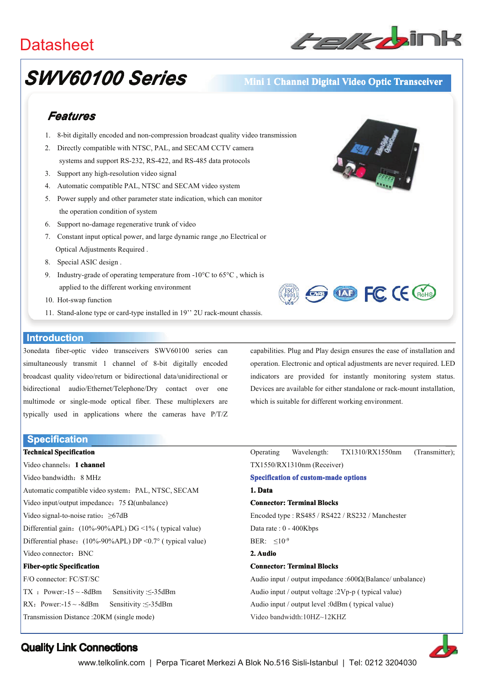## **Datasheet**



# **SWV60100 Series**

### Mini 1 Channel Digital Video Optic Transceiver

## Features

- 1. 8-bit digitally encoded and non-compression broadcast quality video transmission
- 2. Directly compatible with NTSC, PAL, and SECAM CCTV camera systems and support RS-232, RS-422, and RS-485 data protocols
- 3. Support any high-resolution video signal
- 4. Automatic compatible PAL, NTSC and SECAM video system
- 5. Power supply and other parameter state indication, which can monitor the operation condition of system
- 6. Support no-damage regenerative trunk of video
- 7. Constant input optical power, and large dynamic range ,no Electrical or Optical Adjustments Required.
- 8. Special ASIC design.
- 9. Industry-grade of operating temperature from -10 $^{\circ}$ C to 65 $^{\circ}$ C, which is applied to the different working environment
- 10. Hot-swap function
- 11. Stand-alone type or card-type installed in 19" 2U rack-mount chassis.

#### **Introduction**

3onedata fiber-optic video transceivers SWV60100 series can simultaneously transmit 1 channel of 8-bit digitally encoded broadcast quality video/return or bidirectional data/unidirectional or bidirectional audio/Ethernet/Telephone/Dry contact over one multimode or single-mode optical fiber. These multiplexers are typically used in applications where the cameras have P/T/Z

**Specification Technical Specification** 

Video channels: 1 channel Video bandwidth: 8 MHz Automatic compatible video system: PAL, NTSC, SECAM Video input/output impedance: 75  $\Omega$ (unbalance) Video signal-to-noise ratio:  $\geq 67$ dB Differential gain: (10%-90%APL) DG <1% (typical value) Differential phase:  $(10\% - 90\% APL) DP < 0.7$ ° (typical value) Video connector: BNC **Fiber-optic Specification** F/O connector: FC/ST/SC TX : Power:- $15 \sim -8$ dBm Sensitivity: $\leq -35$ dBm RX: Power:- $15 \sim -8$ dBm Sensitivity: <- 35dBm

**Exp (VAD FC (E GIGHS)** 

capabilities. Plug and Play design ensures the ease of installation and operation. Electronic and optical adjustments are never required. LED indicators are provided for instantly monitoring system status. Devices are available for either standalone or rack-mount installation. which is suitable for different working environment.

Operating Wavelength: TX1310/RX1550nm (Transmitter): TX1550/RX1310nm (Receiver) **Specification of custom-made options** 1 Data **Connector: Terminal Blocks** Encoded type: RS485 / RS422 / RS232 / Manchester Data rate: 0 - 400Kbps BER:  $\leq 10^{-9}$ 2 Audio **Connector: Terminal Blocks** Audio input / output impedance :600 $\Omega$ (Balance/ unbalance)

Audio input / output voltage :2Vp-p (typical value) Audio input / output level :0dBm ( typical value)

Video bandwidth:10HZ~12KHZ

25

Transmission Distance: 20KM (single mode)